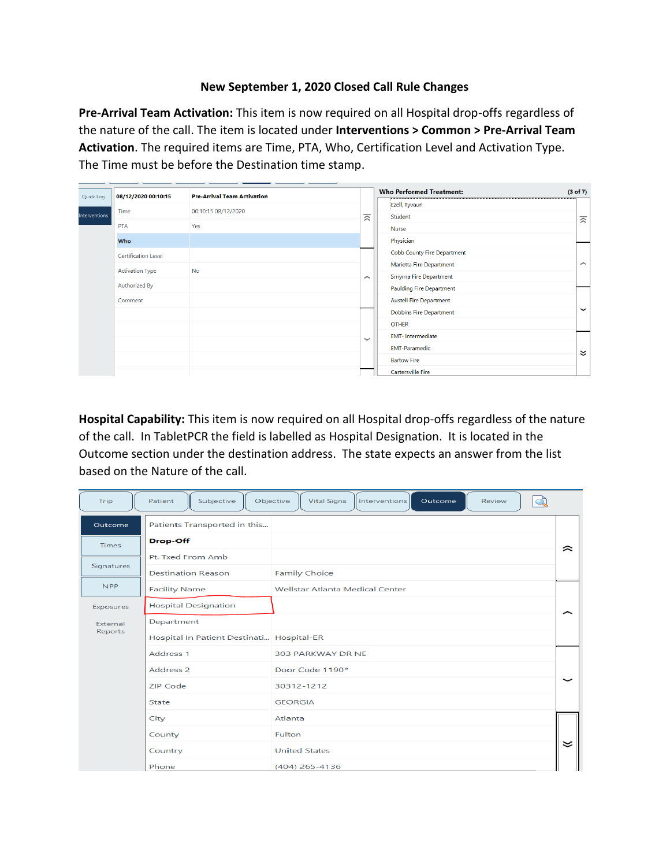## **New September 1, 2020 Closed Call Rule Changes**

**Pre-Arrival Team Activation:** This item is now required on all Hospital drop-offs regardless of the nature of the call. The item is located under **Interventions > Common > Pre-Arrival Team Activation**. The required items are Time, PTA, Who, Certification Level and Activation Type. The Time must be before the Destination time stamp.

| Quick Log            | 08/12/2020 00:10:15        | <b>Pre-Arrival Team Activation</b> |              | <b>Who Performed Treatment:</b>    | (3 of 7)    |
|----------------------|----------------------------|------------------------------------|--------------|------------------------------------|-------------|
|                      |                            |                                    |              | Ezell, Tyvaun                      |             |
| <b>Interventions</b> | Time                       | 00:10:15 08/12/2020                | 云            | Student                            | 交           |
|                      | <b>PTA</b>                 | Yes                                |              | <b>Nurse</b>                       |             |
|                      | Who                        |                                    |              | Physician                          |             |
|                      | <b>Certification Level</b> |                                    |              | <b>Cobb County Fire Department</b> |             |
|                      | <b>Activation Type</b>     | <b>No</b>                          |              | Marietta Fire Department           | ⌒           |
|                      |                            |                                    | $\sim$       | <b>Smyrna Fire Department</b>      |             |
|                      | Authorized By              |                                    |              | <b>Paulding Fire Department</b>    |             |
|                      | Comment                    |                                    |              | <b>Austell Fire Department</b>     |             |
|                      |                            |                                    |              | <b>Dobbins Fire Department</b>     | $\check{ }$ |
|                      |                            |                                    |              | <b>OTHER</b>                       |             |
|                      |                            |                                    | $\checkmark$ | <b>EMT-Intermediate</b>            |             |
|                      |                            |                                    |              | <b>EMT-Paramedic</b>               | ะ           |
|                      |                            |                                    |              | <b>Bartow Fire</b>                 |             |
|                      |                            |                                    |              | <b>Cartersville Fire</b>           |             |

**Hospital Capability:** This item is now required on all Hospital drop-offs regardless of the nature of the call. In TabletPCR the field is labelled as Hospital Designation. It is located in the Outcome section under the destination address. The state expects an answer from the list based on the Nature of the call.

| Trip         | Subjective<br>Patient                     | Objective<br>Outcome<br><b>Vital Signs</b><br><b>Interventions</b><br>Review<br>Q |             |  |  |  |
|--------------|-------------------------------------------|-----------------------------------------------------------------------------------|-------------|--|--|--|
| Outcome      | Patients Transported in this              |                                                                                   |             |  |  |  |
| <b>Times</b> | Drop-Off                                  |                                                                                   | ≈           |  |  |  |
|              | Pt. Txed From Amb                         |                                                                                   |             |  |  |  |
| Signatures   | <b>Destination Reason</b>                 | <b>Family Choice</b>                                                              |             |  |  |  |
| <b>NPP</b>   | <b>Facility Name</b>                      | <b>Wellstar Atlanta Medical Center</b>                                            |             |  |  |  |
| Exposures    | <b>Hospital Designation</b>               |                                                                                   | ∼           |  |  |  |
| External     | Department                                |                                                                                   |             |  |  |  |
| Reports      | Hospital In Patient Destinati Hospital-ER |                                                                                   |             |  |  |  |
|              | Address 1                                 | 303 PARKWAY DR NE                                                                 |             |  |  |  |
|              | Address <sub>2</sub>                      | Door Code 1190*                                                                   |             |  |  |  |
|              | <b>ZIP Code</b>                           | 30312-1212                                                                        | $\check{ }$ |  |  |  |
|              | <b>State</b>                              | <b>GEORGIA</b>                                                                    |             |  |  |  |
|              | City                                      | Atlanta                                                                           |             |  |  |  |
|              | County                                    | Fulton                                                                            |             |  |  |  |
|              | Country                                   | <b>United States</b>                                                              | ≍           |  |  |  |
|              | Phone                                     | (404) 265-4136                                                                    |             |  |  |  |